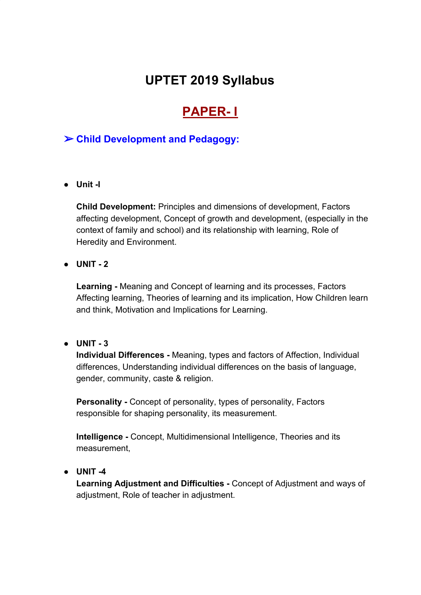# **UPTET 2019 Syllabus**

# **PAPER- I**

# ➢ **Child Development and Pedagogy:**

**● Unit -I**

**Child Development:** Principles and dimensions of development, Factors affecting development, Concept of growth and development, (especially in the context of family and school) and its relationship with learning, Role of Heredity and Environment.

**● UNIT - 2**

**Learning -** Meaning and Concept of learning and its processes, Factors Affecting learning, Theories of learning and its implication, How Children learn and think, Motivation and Implications for Learning.

#### **● UNIT - 3**

**Individual Differences -** Meaning, types and factors of Affection, Individual differences, Understanding individual differences on the basis of language, gender, community, caste & religion.

**Personality -** Concept of personality, types of personality, Factors responsible for shaping personality, its measurement.

**Intelligence -** Concept, Multidimensional Intelligence, Theories and its measurement,

#### **● UNIT -4**

**Learning Adjustment and Difficulties -** Concept of Adjustment and ways of adjustment, Role of teacher in adjustment.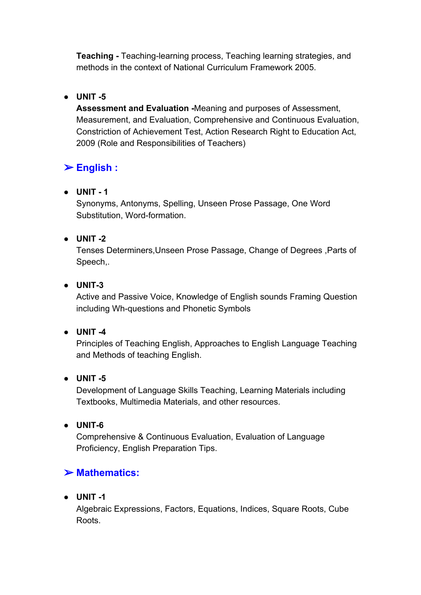**Teaching -** Teaching-learning process, Teaching learning strategies, and methods in the context of National Curriculum Framework 2005.

# **● UNIT -5**

**Assessment and Evaluation -**Meaning and purposes of Assessment, Measurement, and Evaluation, Comprehensive and Continuous Evaluation, Constriction of Achievement Test, Action Research Right to Education Act, 2009 (Role and Responsibilities of Teachers)

# ➢ **English :**

**● UNIT - 1**

Synonyms, Antonyms, Spelling, Unseen Prose Passage, One Word Substitution, Word-formation.

# **● UNIT -2**

Tenses Determiners,Unseen Prose Passage, Change of Degrees ,Parts of Speech,.

## **● UNIT-3**

Active and Passive Voice, Knowledge of English sounds Framing Question including Wh-questions and Phonetic Symbols

## **● UNIT -4**

Principles of Teaching English, Approaches to English Language Teaching and Methods of teaching English.

## **● UNIT -5**

Development of Language Skills Teaching, Learning Materials including Textbooks, Multimedia Materials, and other resources.

**● UNIT-6**

Comprehensive & Continuous Evaluation, Evaluation of Language Proficiency, English Preparation Tips.

# ➢ **Mathematics:**

## **● UNIT -1**

Algebraic Expressions, Factors, Equations, Indices, Square Roots, Cube Roots.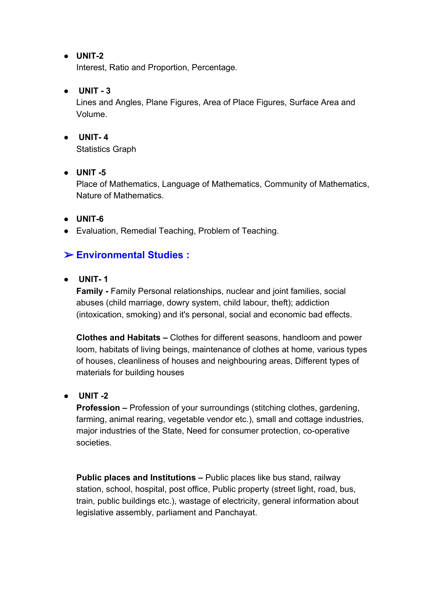#### **● UNIT-2**

Interest, Ratio and Proportion, Percentage.

#### ● **UNIT - 3**

Lines and Angles, Plane Figures, Area of Place Figures, Surface Area and Volume.

## **● UNIT- 4**

Statistics Graph

## **● UNIT -5**

Place of Mathematics, Language of Mathematics, Community of Mathematics, Nature of Mathematics.

#### **● UNIT-6**

● Evaluation, Remedial Teaching, Problem of Teaching.

# ➢ **Environmental Studies :**

#### **● UNIT- 1**

**Family -** Family Personal relationships, nuclear and joint families, social abuses (child marriage, dowry system, child labour, theft); addiction (intoxication, smoking) and it's personal, social and economic bad effects.

**Clothes and Habitats –** Clothes for different seasons, handloom and power loom, habitats of living beings, maintenance of clothes at home, various types of houses, cleanliness of houses and neighbouring areas, Different types of materials for building houses

## **● UNIT -2**

**Profession –** Profession of your surroundings (stitching clothes, gardening, farming, animal rearing, vegetable vendor etc.), small and cottage industries, major industries of the State, Need for consumer protection, co-operative societies.

**Public places and Institutions –** Public places like bus stand, railway station, school, hospital, post office, Public property (street light, road, bus, train, public buildings etc.), wastage of electricity, general information about legislative assembly, parliament and Panchayat.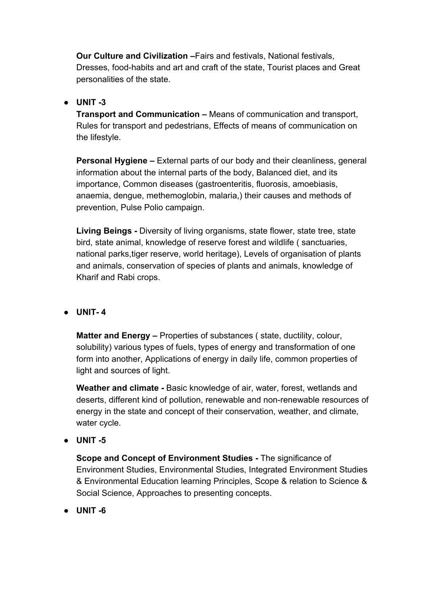**Our Culture and Civilization –**Fairs and festivals, National festivals, Dresses, food-habits and art and craft of the state, Tourist places and Great personalities of the state.

#### **● UNIT -3**

**Transport and Communication –** Means of communication and transport, Rules for transport and pedestrians, Effects of means of communication on the lifestyle.

**Personal Hygiene –** External parts of our body and their cleanliness, general information about the internal parts of the body, Balanced diet, and its importance, Common diseases (gastroenteritis, fluorosis, amoebiasis, anaemia, dengue, methemoglobin, malaria,) their causes and methods of prevention, Pulse Polio campaign.

**Living Beings -** Diversity of living organisms, state flower, state tree, state bird, state animal, knowledge of reserve forest and wildlife ( sanctuaries, national parks,tiger reserve, world heritage), Levels of organisation of plants and animals, conservation of species of plants and animals, knowledge of Kharif and Rabi crops.

## **● UNIT- 4**

**Matter and Energy –** Properties of substances ( state, ductility, colour, solubility) various types of fuels, types of energy and transformation of one form into another, Applications of energy in daily life, common properties of light and sources of light.

**Weather and climate -** Basic knowledge of air, water, forest, wetlands and deserts, different kind of pollution, renewable and non-renewable resources of energy in the state and concept of their conservation, weather, and climate, water cycle.

**● UNIT -5**

**Scope and Concept of Environment Studies -** The significance of Environment Studies, Environmental Studies, Integrated Environment Studies & Environmental Education learning Principles, Scope & relation to Science & Social Science, Approaches to presenting concepts.

**● UNIT -6**